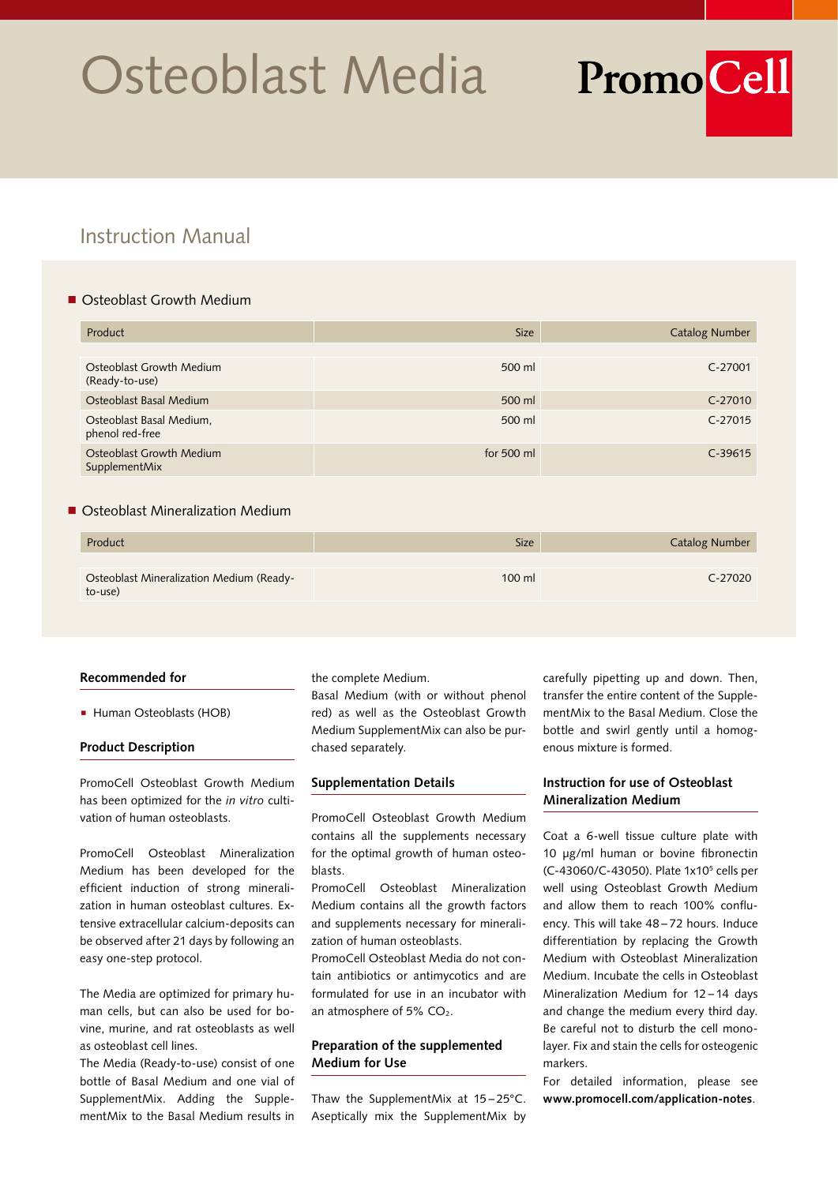# Osteoblast Media

# Instruction Manual

# ■ Osteoblast Growth Medium

| Product                                     | <b>Size</b> | <b>Catalog Number</b> |
|---------------------------------------------|-------------|-----------------------|
|                                             |             |                       |
| Osteoblast Growth Medium<br>(Ready-to-use)  | 500 ml      | C-27001               |
| Osteoblast Basal Medium                     | 500 ml      | C-27010               |
| Osteoblast Basal Medium,<br>phenol red-free | 500 ml      | $C-27015$             |
| Osteoblast Growth Medium<br>SupplementMix   | for 500 ml  | $C-39615$             |

## ■ Osteoblast Mineralization Medium

| Product                                             | <b>Size</b> | <b>Catalog Number</b> |
|-----------------------------------------------------|-------------|-----------------------|
| Osteoblast Mineralization Medium (Ready-<br>to-use) | $100$ ml    | C-27020               |

#### **Recommended for**

■ Human Osteoblasts (HOB)

#### **Product Description**

PromoCell Osteoblast Growth Medium has been optimized for the *in vitro* cultivation of human osteoblasts.

PromoCell Osteoblast Mineralization Medium has been developed for the efficient induction of strong mineralization in human osteoblast cultures. Extensive extracellular calcium-deposits can be observed after 21 days by following an easy one-step protocol.

The Media are optimized for primary human cells, but can also be used for bovine, murine, and rat osteoblasts as well as osteoblast cell lines.

The Media (Ready-to-use) consist of one bottle of Basal Medium and one vial of SupplementMix. Adding the SupplementMix to the Basal Medium results in

the complete Medium.

Basal Medium (with or without phenol red) as well as the Osteoblast Growth Medium SupplementMix can also be purchased separately.

#### **Supplementation Details**

PromoCell Osteoblast Growth Medium contains all the supplements necessary for the optimal growth of human osteoblasts.

PromoCell Osteoblast Mineralization Medium contains all the growth factors and supplements necessary for mineralization of human osteoblasts.

PromoCell Osteoblast Media do not contain antibiotics or antimycotics and are formulated for use in an incubator with an atmosphere of 5%  $CO<sub>2</sub>$ .

# **Preparation of the supplemented Medium for Use**

Thaw the SupplementMix at 15 – 25°C. Aseptically mix the SupplementMix by

carefully pipetting up and down. Then, transfer the entire content of the SupplementMix to the Basal Medium. Close the bottle and swirl gently until a homogenous mixture is formed.

**PromoCell** 

# **Instruction for use of Osteoblast Mineralization Medium**

Coat a 6-well tissue culture plate with 10 μg/ml human or bovine fibronectin (C-43060/C-43050). Plate 1x10<sup>5</sup> cells per well using Osteoblast Growth Medium and allow them to reach 100% confluency. This will take 48 – 72 hours. Induce differentiation by replacing the Growth Medium with Osteoblast Mineralization Medium. Incubate the cells in Osteoblast Mineralization Medium for 12 – 14 days and change the medium every third day. Be careful not to disturb the cell monolayer. Fix and stain the cells for osteogenic markers.

For detailed information, please see **www.promocell.com/application-notes**.